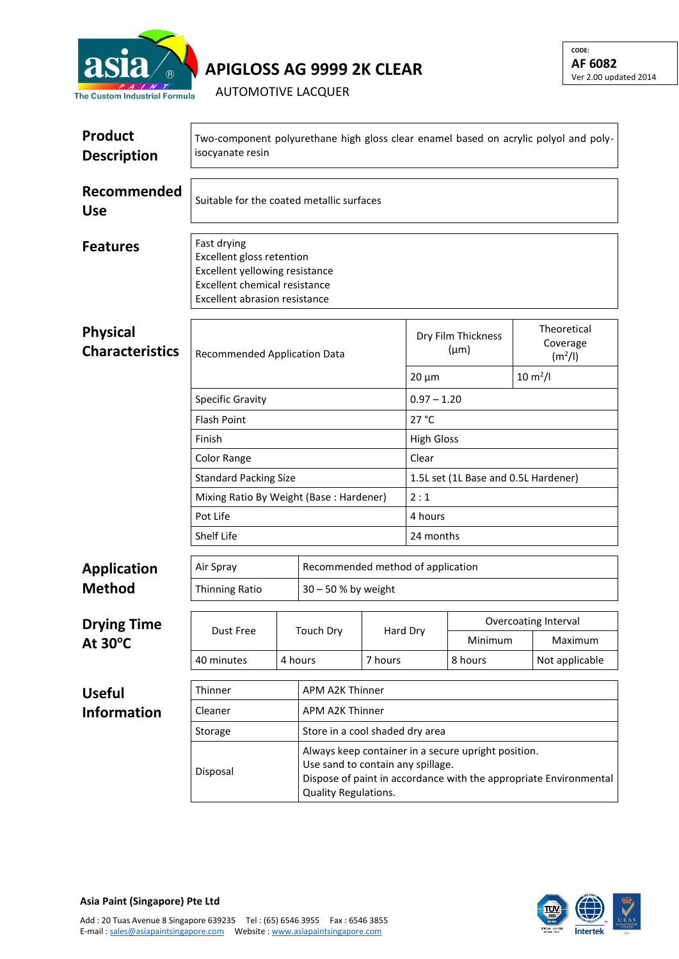

**APIGLOSS AG 9999 2K CLEAR**

**CODE: AF 6082** Ver 2.00 updated 2014

AUTOMOTIVE LACQUER

| <b>Product</b><br><b>Description</b>      | Two-component polyurethane high gloss clear enamel based on acrylic polyol and poly-<br>isocyanate resin                                            |         |                                                                                                                                                                                       |         |                                 |                       |  |                                                |  |
|-------------------------------------------|-----------------------------------------------------------------------------------------------------------------------------------------------------|---------|---------------------------------------------------------------------------------------------------------------------------------------------------------------------------------------|---------|---------------------------------|-----------------------|--|------------------------------------------------|--|
| Recommended<br><b>Use</b>                 | Suitable for the coated metallic surfaces                                                                                                           |         |                                                                                                                                                                                       |         |                                 |                       |  |                                                |  |
| <b>Features</b>                           | Fast drying<br>Excellent gloss retention<br>Excellent yellowing resistance<br><b>Excellent chemical resistance</b><br>Excellent abrasion resistance |         |                                                                                                                                                                                       |         |                                 |                       |  |                                                |  |
| <b>Physical</b><br><b>Characteristics</b> | <b>Recommended Application Data</b>                                                                                                                 |         |                                                                                                                                                                                       |         | Dry Film Thickness<br>$(\mu m)$ |                       |  | Theoretical<br>Coverage<br>(m <sup>2</sup> /I) |  |
|                                           |                                                                                                                                                     |         |                                                                                                                                                                                       |         | $20 \mu m$                      | $10 \, \text{m}^2$ /l |  |                                                |  |
|                                           | <b>Specific Gravity</b>                                                                                                                             |         |                                                                                                                                                                                       |         | $0.97 - 1.20$                   |                       |  |                                                |  |
|                                           | <b>Flash Point</b><br>Finish                                                                                                                        |         |                                                                                                                                                                                       |         | 27 °C<br><b>High Gloss</b>      |                       |  |                                                |  |
|                                           | <b>Color Range</b>                                                                                                                                  |         | Clear                                                                                                                                                                                 |         |                                 |                       |  |                                                |  |
|                                           | <b>Standard Packing Size</b>                                                                                                                        |         | 1.5L set (1L Base and 0.5L Hardener)                                                                                                                                                  |         |                                 |                       |  |                                                |  |
|                                           | Mixing Ratio By Weight (Base: Hardener)                                                                                                             |         | 2:1                                                                                                                                                                                   |         |                                 |                       |  |                                                |  |
|                                           | Pot Life                                                                                                                                            |         | 4 hours                                                                                                                                                                               |         |                                 |                       |  |                                                |  |
|                                           | Shelf Life                                                                                                                                          |         | 24 months                                                                                                                                                                             |         |                                 |                       |  |                                                |  |
|                                           | Air Spray                                                                                                                                           |         | Recommended method of application                                                                                                                                                     |         |                                 |                       |  |                                                |  |
| <b>Application</b><br><b>Method</b>       | Thinning Ratio                                                                                                                                      |         | 30 - 50 % by weight                                                                                                                                                                   |         |                                 |                       |  |                                                |  |
|                                           |                                                                                                                                                     |         |                                                                                                                                                                                       |         |                                 |                       |  |                                                |  |
| <b>Drying Time</b>                        | Dust Free                                                                                                                                           |         | <b>Touch Dry</b>                                                                                                                                                                      |         | Hard Dry                        | Overcoating Interval  |  |                                                |  |
| At $30^{\circ}$ C                         |                                                                                                                                                     |         |                                                                                                                                                                                       |         |                                 | Minimum               |  | Maximum                                        |  |
|                                           | 40 minutes                                                                                                                                          | 4 hours |                                                                                                                                                                                       | 7 hours |                                 | 8 hours               |  | Not applicable                                 |  |
| <b>Useful</b>                             | Thinner<br>APM A2K Thinner                                                                                                                          |         |                                                                                                                                                                                       |         |                                 |                       |  |                                                |  |
| <b>Information</b>                        | Cleaner                                                                                                                                             |         | APM A2K Thinner                                                                                                                                                                       |         |                                 |                       |  |                                                |  |
|                                           | Store in a cool shaded dry area<br>Storage                                                                                                          |         |                                                                                                                                                                                       |         |                                 |                       |  |                                                |  |
|                                           | Disposal                                                                                                                                            |         | Always keep container in a secure upright position.<br>Use sand to contain any spillage.<br>Dispose of paint in accordance with the appropriate Environmental<br>Quality Regulations. |         |                                 |                       |  |                                                |  |